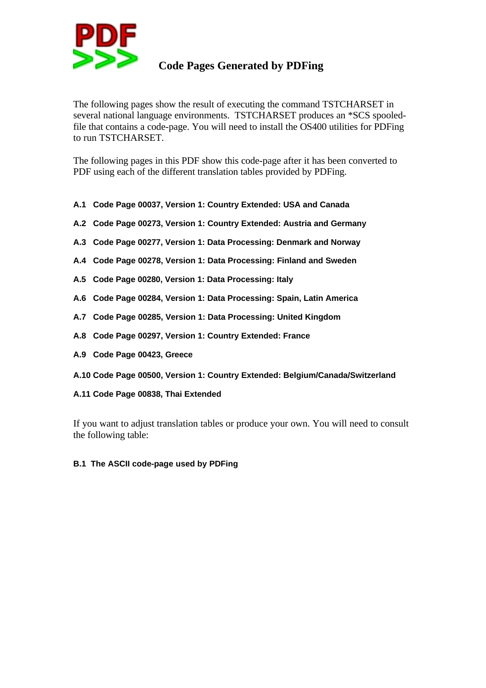

## **Code Pages Generated by PDFing**

The following pages show the result of executing the command TSTCHARSET in several national language environments. TSTCHARSET produces an \*SCS spooledfile that contains a code-page. You will need to install the OS400 utilities for PDFing to run TSTCHARSET.

The following pages in this PDF show this code-page after it has been converted to PDF using each of the different translation tables provided by PDFing.

- **A.1 Code Page 00037, Version 1: Country Extended: USA and Canada**
- **A.2 Code Page 00273, Version 1: Country Extended: Austria and Germany**
- **A.3 Code Page 00277, Version 1: Data Processing: Denmark and Norway**
- **A.4 Code Page 00278, Version 1: Data Processing: Finland and Sweden**
- **A.5 Code Page 00280, Version 1: Data Processing: Italy**
- **A.6 Code Page 00284, Version 1: Data Processing: Spain, Latin America**
- **A.7 Code Page 00285, Version 1: Data Processing: United Kingdom**
- **A.8 Code Page 00297, Version 1: Country Extended: France**
- **A.9 Code Page 00423, Greece**
- **A.10 Code Page 00500, Version 1: Country Extended: Belgium/Canada/Switzerland**
- **A.11 Code Page 00838, Thai Extended**

If you want to adjust translation tables or produce your own. You will need to consult the following table:

**B.1 The ASCII code-page used by PDFing**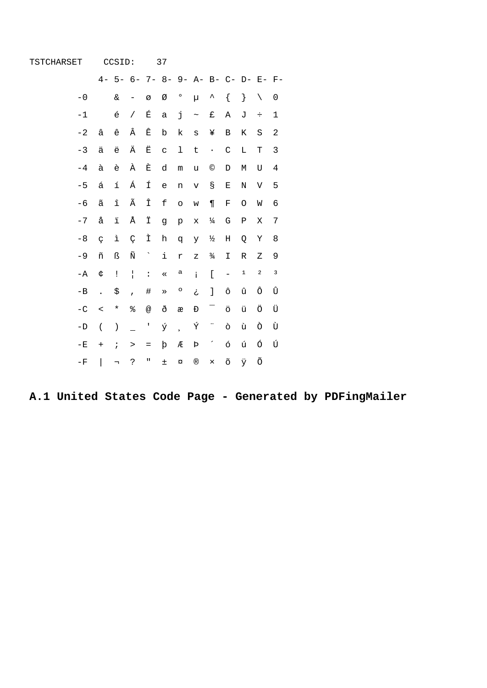| TSTCHARSET     |                      | CCSID:                              |                |                      | 37          |                      |                                                                                                                                                                                                                                                                                                                                                                                                                                |                          |                          |             |             |   |
|----------------|----------------------|-------------------------------------|----------------|----------------------|-------------|----------------------|--------------------------------------------------------------------------------------------------------------------------------------------------------------------------------------------------------------------------------------------------------------------------------------------------------------------------------------------------------------------------------------------------------------------------------|--------------------------|--------------------------|-------------|-------------|---|
|                |                      | 4- 5- 6- 7- 8- 9- A- B- C- D- E- F- |                |                      |             |                      |                                                                                                                                                                                                                                                                                                                                                                                                                                |                          |                          |             |             |   |
| $-0$           |                      | $\&$                                |                | Ø                    | Ø           | $\circ$              | μ                                                                                                                                                                                                                                                                                                                                                                                                                              | $\hat{\phantom{1}}$      | $\{$                     | $\}$        | $\setminus$ | 0 |
| $-1$           |                      | $\acute{\text e}$                   | $\sqrt{2}$     | É                    | $\mathsf a$ | j                    | $\thicksim$                                                                                                                                                                                                                                                                                                                                                                                                                    | £                        | Α                        | J           | ÷           | 1 |
| $-2$           | â                    | ê                                   | Â              | Ê                    | $\mathbf b$ | k                    | $\mathtt{s}$                                                                                                                                                                                                                                                                                                                                                                                                                   | ¥                        | $\, {\bf B}$             | $\rm K$     | $\rm S$     | 2 |
| $-3$           | ä                    | ë                                   | Ä              | Ë                    | $\mathbf C$ | 1                    | $\sf t$                                                                                                                                                                                                                                                                                                                                                                                                                        | $\bullet$                | $\mathcal{C}$            | L           | Т           | 3 |
| $-4$           | à                    | è                                   | À              | È                    | d           | ${\mathfrak m}$      | u                                                                                                                                                                                                                                                                                                                                                                                                                              | $^{\circ}$               | D                        | М           | U           | 4 |
| $-5$           | á                    | í                                   | Á              | Í                    | e           | n                    | $\boldsymbol{\mathrm{V}}$                                                                                                                                                                                                                                                                                                                                                                                                      | g                        | Ε                        | $\rm N$     | V           | 5 |
| $-6$           | ã                    | $\hat{\mathtt{l}}$                  | Ã              | Î                    | $\mathbf f$ | $\circ$              | W                                                                                                                                                                                                                                                                                                                                                                                                                              | $\P$                     | $\mathbf F$              | O           | W           | 6 |
| $-7$           | å                    | ï                                   | Å              | Ϊ                    | g           | $\rm{p}$             | X                                                                                                                                                                                                                                                                                                                                                                                                                              | $\frac{1}{4}$            | G                        | ${\bf P}$   | Χ           | 7 |
| $-8$           | $\zeta$              | ì                                   | Ç              | Ì                    | h           | q                    | У                                                                                                                                                                                                                                                                                                                                                                                                                              | ⅓                        | $\rm H$                  | Q           | Υ           | 8 |
| $-9$           | ñ                    | ß                                   | Ñ              | $\gamma$             | i           | r                    | $\mathbf{Z}% _{0}=\mathbf{Z}_{0}=\mathbf{Z}_{0}=\mathbf{Z}_{0}=\mathbf{Z}_{0}=\mathbf{Z}_{0}=\mathbf{Z}_{0}=\mathbf{Z}_{0}=\mathbf{Z}_{0}=\mathbf{Z}_{0}=\mathbf{Z}_{0}=\mathbf{Z}_{0}=\mathbf{Z}_{0}=\mathbf{Z}_{0}=\mathbf{Z}_{0}=\mathbf{Z}_{0}=\mathbf{Z}_{0}=\mathbf{Z}_{0}=\mathbf{Z}_{0}=\mathbf{Z}_{0}=\mathbf{Z}_{0}=\mathbf{Z}_{0}=\mathbf{Z}_{0}=\mathbf{Z}_{0}=\mathbf{Z}_{0}=\mathbf{Z}_{0}=\mathbf{Z}_{0}=\math$ | $\frac{3}{4}$            | I                        | $\mathbb R$ | Ζ           | 9 |
| $-A$           | ¢                    | Ţ                                   | $\mathbf{I}$   | $\ddot{\phantom{a}}$ | $\ll$       | a                    | İ.                                                                                                                                                                                                                                                                                                                                                                                                                             | ſ                        | $\equiv$                 | $\mathbf 1$ | $\mathbf 2$ | 3 |
| $-B$           | $\ddot{\phantom{a}}$ | \$                                  | $\overline{ }$ | #                    | $\gg$       | $\circ$              | خ                                                                                                                                                                                                                                                                                                                                                                                                                              | I                        | ô                        | û           | ô           | Û |
| $-C$           | $\,<$                | $\star$                             | %              | @                    | ð           | æ                    | Đ                                                                                                                                                                                                                                                                                                                                                                                                                              | $\overline{\phantom{0}}$ | ö                        | ü           | Ö           | Ü |
| $-\mathbb{D}$  | $\overline{(\ }$     | $\big)$                             |                | Ţ                    | ý           | $\ddot{\phantom{a}}$ | Ý                                                                                                                                                                                                                                                                                                                                                                                                                              | ÷,                       | ò                        | ù           | Ò           | Ù |
| $^-\mathrm{E}$ | $+$                  | $\ddot{ }$                          | $\, >$         | $=$                  | þ           | Æ                    | Þ                                                                                                                                                                                                                                                                                                                                                                                                                              | $\overline{\phantom{a}}$ | $\acute{\rm{o}}$         | ú           | ó           | Ú |
| $^{\rm -F}$    |                      | $\overline{\phantom{0}}$            | Ċ.             | IJ                   | 土           | $\alpha$             | $^\circledR$                                                                                                                                                                                                                                                                                                                                                                                                                   | $\times$                 | $\widetilde{\mathrm{O}}$ | ÿ           | Õ           |   |

A.1 United States Code Page - Generated by PDFingMailer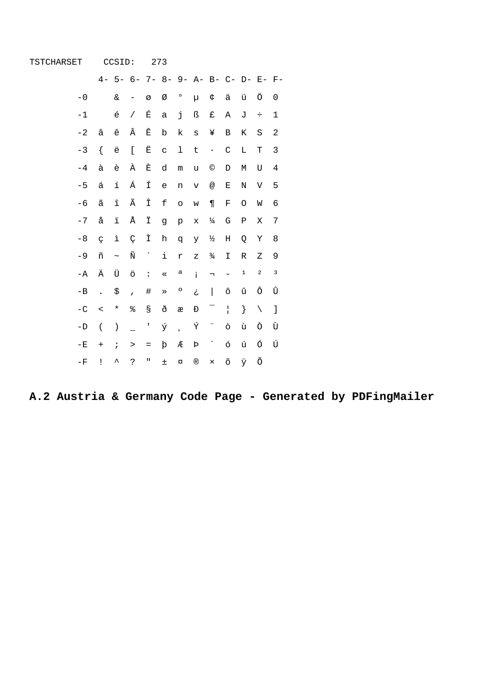| TSTCHARSET    |                          | CCSID:                 |                                     |                     | 273          |                          |              |                           |                   |             |             |                                |
|---------------|--------------------------|------------------------|-------------------------------------|---------------------|--------------|--------------------------|--------------|---------------------------|-------------------|-------------|-------------|--------------------------------|
|               |                          |                        | 4- 5- 6- 7- 8- 9- A- B- C- D- E- F- |                     |              |                          |              |                           |                   |             |             |                                |
| $-0$          |                          | $\&$                   | -                                   | Ø                   | Ø            | $\circ$                  | μ            | ¢                         | ä                 | ü           | Ö           | 0                              |
| $-1$          |                          | $\acute{\text e}$      | $\sqrt{2}$                          | É                   | $\mathsf{a}$ | j                        | ß            | £                         | Α                 | J           | $\div$      | $\mathbf 1$                    |
| $-2$          | â                        | ê                      | Â                                   | Ê                   | $\mathbf b$  | k                        | S            | ¥                         | B                 | Κ           | S           | $\overline{c}$                 |
| $-3$          | $\{$                     | ë                      | $\mathfrak l$                       | Ë                   | $\mathsf C$  | 1                        | $\sf t$      | $\,$ .                    | $\mathcal{C}$     | Г           | T           | 3                              |
| $-4$          | à                        | è                      | À                                   | È                   | d            | ${\mathfrak m}$          | u            | $^{\circ}$                | D                 | М           | U           | $\overline{4}$                 |
| $-5$          | á                        | í                      | Á                                   | Í                   | $\epsilon$   | n                        | $\mathbf v$  | $^\text{\textregistered}$ | $\mathbf E$       | Ν           | V           | 5                              |
| $-6$          | ã                        | $\widehat{\mathtt{l}}$ | Ã                                   | Î                   | f            | $\circ$                  | W            | $\P$                      | $\mathbf F$       | O           | W           | 6                              |
| $-7$          | å                        | ï                      | Å                                   | Ϊ                   | g            | $\rm\,p$                 | X            | $\frac{1}{4}$             | ${\mathsf G}$     | ${\tt P}$   | Χ           | 7                              |
| $-8$          | $\zeta$                  | ì                      | Ç                                   | Ì                   | h            | đ                        | У            | ⅓                         | $\rm H$           | Q           | Υ           | 8                              |
| $-9$          | ñ                        | $\thicksim$            | $\tilde{\textrm{N}}$                | $\hat{\phantom{a}}$ | i            | r                        | Ζ            | $\frac{3}{4}$             | I                 | R           | Ζ           | 9                              |
| $-A$          | Ä                        | Ü                      | ö                                   | $\ddot{\cdot}$      | $\ll$        | а                        | i.           | $\lnot$                   | $\qquad \qquad -$ | $\mathbf 1$ | $\mathbf 2$ | 3                              |
| $-B$          | $\ddot{\phantom{a}}$     | \$                     | $\overline{ }$                      | $\#$                | $\gg$        | o                        | خ            | $\overline{\phantom{a}}$  | ô                 | û           | ô           | Û                              |
| $-C$          | $\overline{\phantom{a}}$ | $^\star$               | ∻                                   | S                   | ð            | æ                        | Đ            | $\overline{\phantom{0}}$  | $\mathbf{I}$      | }           | $\setminus$ | $\begin{array}{c} \end{array}$ |
| $-\mathbf{D}$ | $\overline{(\ }$         | $\left( \right)$       |                                     | L                   | ý            | $\overline{\phantom{a}}$ | Ý            | ÷,                        | ò                 | ù           | Ò           | Ù                              |
| $-E$          | $\ddot{}$                | $\ddot{i}$             | $\, >$                              | $\qquad \qquad =$   | þ            | Æ                        | Þ            | $\overline{\phantom{a}}$  | ó                 | ú           | Ó           | Ú                              |
| $-F$          | Ţ                        | ᄉ                      | 5                                   | $\mathbf{u}$        | 土            | $\alpha$                 | $^\circledR$ | $\times$                  | õ                 | Ÿ           | Õ           |                                |

A.2 Austria & Germany Code Page - Generated by PDFingMailer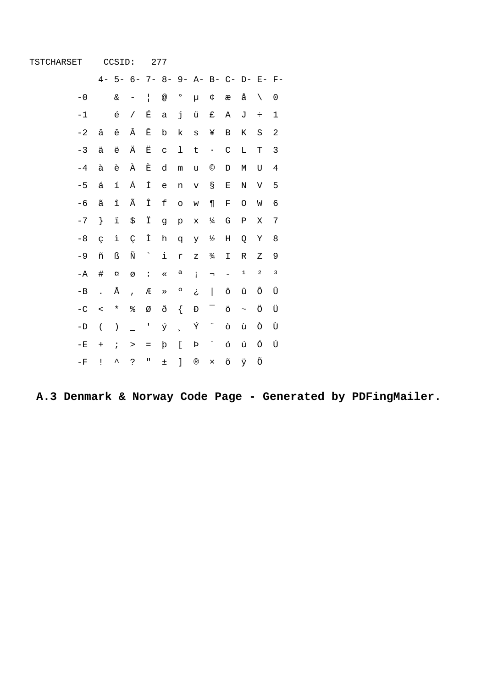| TSTCHARSET    |                      | CCSID:                              |                |                      | 277         |                          |                    |                          |                           |             |             |                |
|---------------|----------------------|-------------------------------------|----------------|----------------------|-------------|--------------------------|--------------------|--------------------------|---------------------------|-------------|-------------|----------------|
|               |                      | 4- 5- 6- 7- 8- 9- A- B- C- D- E- F- |                |                      |             |                          |                    |                          |                           |             |             |                |
| $-0$          |                      | &                                   |                | $\mathbf{I}$         | @           | $\circ$                  | μ                  | ¢                        | æ                         | å           | $\setminus$ | 0              |
| $-1$          |                      | é                                   | $\sqrt{2}$     | É                    | $\mathsf a$ | j                        | ü                  | £                        | Α                         | J           | $\div$      | $1\,$          |
| $-2$          | â                    | ê                                   | Â              | Ê                    | $\mathbf b$ | k                        | S                  | ¥                        | B                         | Κ           | S           | $\overline{c}$ |
| $-3$          | ä                    | ë                                   | Ä              | Ë                    | $\mathbf C$ | 1                        | $\sf t$            | $\bullet$                | $\mathsf C$               | Г           | Т           | 3              |
| $-4$          | à                    | è                                   | À              | È                    | d           | ${\mathfrak m}$          | u                  | $^{\circ}$               | D                         | М           | U           | 4              |
| $-5$          | á                    | í                                   | Á              | Í                    | $\epsilon$  | n                        | $\mathbf v$        | $\mathbb S$              | Ε                         | $\mathbf N$ | V           | 5              |
| $-6$          | ã                    | $\hat{\mathtt{l}}$                  | Ã              | Î                    | $\mathbf f$ | $\circ$                  | W                  | $\P$                     | $\mathbf F$               | O           | W           | 6              |
| $-7$          | $\}$                 | $\ddot{\texttt{1}}$                 | \$             | Ϊ                    | g           | p                        | $\mathbf x$        | $\frac{1}{4}$            | G                         | ${\bf P}$   | Χ           | 7              |
| $-8$          | Ç                    | ì                                   | Ç              | Ì                    | h           | đ                        | У                  | ⅓                        | $\rm H$                   | Q           | Υ           | 8              |
| $-9$          | ñ                    | ß                                   | Ñ              | $\hat{\phantom{a}}$  | i           | r                        | Ζ                  | $\frac{3}{4}$            | I                         | $\mathbb R$ | Ζ           | 9              |
| $-\mathbb{A}$ | #                    | $\alpha$                            | Ø              | $\ddot{\phantom{a}}$ | $\ll$       | a                        | i.                 | $\lnot$                  | $\qquad \qquad -$         | $\mathbf 1$ | $\mathbf 2$ | 3              |
| $-B$          | $\ddot{\phantom{a}}$ | Å                                   | $\overline{ }$ | Æ                    | $\gg$       | $\circ$                  | خ                  | $\overline{\phantom{a}}$ | ô                         | û           | ô           | Û              |
| $-C$          | $\,<$                | $^\star$                            | %              | Ø                    | ð           | $\{$                     | Đ                  | $\overline{\phantom{0}}$ | ö                         | $\thicksim$ | Ö           | Ü              |
| $-\mathbb{D}$ | $\overline{(\ }$     | $\left( \right)$                    |                | $\mathbf I$          | ý           | $\overline{\phantom{a}}$ | Ý                  | ï                        | ò                         | ù           | Ò           | Ù              |
| $-E$          | $+$                  | $\ddot{i}$                          | $\, >$         | $\equiv$             | þ           | $\mathbf{r}$             | $\mbox{\bf \rm P}$ | $\overline{\phantom{a}}$ | ó                         | ú           | Ó           | Ú              |
| $-F$          | Ţ                    | ᄉ                                   | ?              | П                    | $\pm$       | J                        | $^\circledR$       | $\times$                 | $\widetilde{\mathcal{O}}$ | ÿ           | Õ           |                |

A.3 Denmark & Norway Code Page - Generated by PDFingMailer.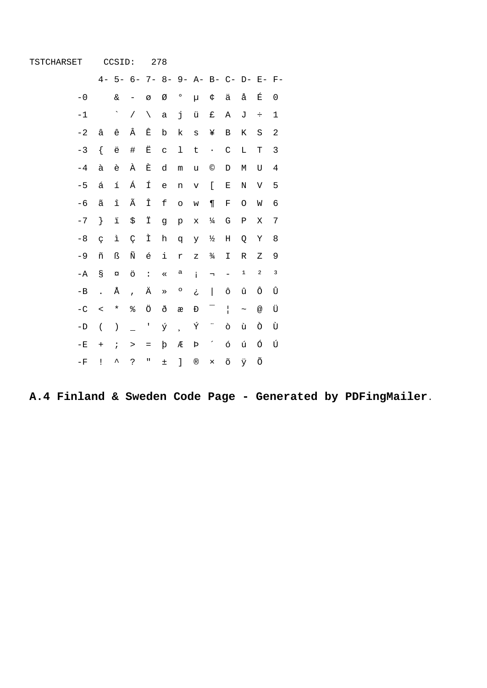| TSTCHARSET    |                      | CCSID:                              |                |                                   | 278         |                |              |                          |                          |             |                           |             |
|---------------|----------------------|-------------------------------------|----------------|-----------------------------------|-------------|----------------|--------------|--------------------------|--------------------------|-------------|---------------------------|-------------|
|               |                      | 4- 5- 6- 7- 8- 9- A- B- C- D- E- F- |                |                                   |             |                |              |                          |                          |             |                           |             |
| $-0$          |                      | $\delta$ c                          | -              | Ø                                 | Ø           | $\circ$        | μ            | ¢                        | ä                        | å           | É                         | 0           |
| $-1$          |                      | $\ddot{\phantom{0}}$                | $\sqrt{2}$     | $\setminus$                       | $\mathsf a$ | j              | ü            | £                        | Α                        | J           | ÷                         | $\mathbf 1$ |
| $-2$          | â                    | ê                                   | Â              | Ê                                 | $\mathbf b$ | k              | $\mathbf s$  | ¥                        | $\, {\bf B}$             | Κ           | S                         | $\sqrt{2}$  |
| $-3$          | ſ                    | ë                                   | #              | Ë                                 | $\mathbf C$ | ı              | $\sf t$      | $\,$ .                   | $\mathcal{C}$            | L           | T                         | $\mathsf 3$ |
| $-4$          | à                    | è                                   | À              | È                                 | d           | m              | u            | $\odot$                  | D                        | М           | U                         | $\,4$       |
| $-5$          | á                    | í                                   | Á              | Í                                 | $\epsilon$  | n              | $\mathbf v$  | $\mathsf{L}$             | $\mathbf E$              | N           | $\mathbf{V}$              | 5           |
| $-6$          | $\tilde{\text{a}}$   | $\widehat{\mathtt{l}}$              | Ã              | Î                                 | $\mathbf f$ | $\circ$        | W            | $\P$                     | $\mathbf F$              | O           | W                         | 6           |
| $-7$          | $\}$                 | $\ddot{\texttt{1}}$                 | \$             | Ϊ                                 | g           | p              | $\mathbf x$  | $\frac{1}{4}$            | G                        | Ρ           | Χ                         | $\sqrt{ }$  |
| $-8$          | Ç                    | ì                                   | Ç              | Ì                                 | $\,h$       | q              | У            | ½                        | $\rm H$                  | Q           | Υ                         | 8           |
| $-9$          | ñ                    | ß                                   | Ñ              | é                                 | i           | $\mathtt{r}$   | Ζ            | $\frac{3}{4}$            | $\mathbbm{I}$            | R           | Ζ                         | 9           |
| $-A$          | g                    | $\alpha$                            | ö              | $\ddot{\phantom{a}}$              | $\ll$       | а              | i.           | $\lnot$                  | $\qquad \qquad -$        | $\mathbf 1$ | $\mathbf 2$               | 3           |
| $-B$          | $\ddot{\phantom{a}}$ | Å                                   | $\overline{ }$ | Ä                                 | $\gg$       | $\circ$        | خ            | I                        | ô                        | û           | ô                         | Û           |
| $-C$          | $\,<$                | $^\star$                            | %              | Ö                                 | ð           | æ              | Đ            | -                        | $\mathbf{I}$             | $\thicksim$ | $^\text{\textregistered}$ | Ü           |
| $-\mathbb{D}$ | $\overline{(\ }$     | $\big)$                             |                | I                                 | ý           | $\overline{a}$ | Ý            | н,                       | ò                        | ù           | Ò                         | Ù           |
| $-{\bf E}$    | $+$                  | $\ddot{i}$                          | >              | $\hspace{1.6cm} = \hspace{1.6cm}$ | þ           | Æ              | Þ            | $\overline{\phantom{a}}$ | ó                        | ú           | Ó                         | Ú           |
| $-\mathbf{F}$ | Ţ                    | ᄉ                                   | Ċ.             | П                                 | $\pm$       | $\mathbf{I}$   | $^\circledR$ | $\times$                 | $\widetilde{\mathrm{O}}$ | Ÿ           | Õ                         |             |

A.4 Finland & Sweden Code Page - Generated by PDFingMailer.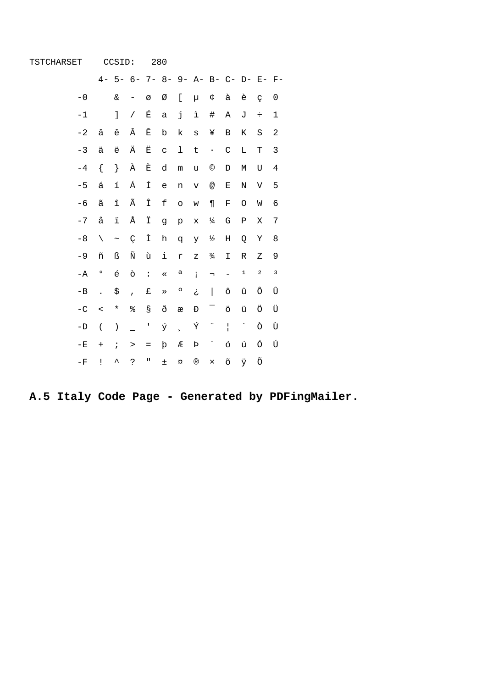| TSTCHARSET    |                      | CCSID:                 |                                     |                | 280          |                          |                |                           |                          |                          |             |             |
|---------------|----------------------|------------------------|-------------------------------------|----------------|--------------|--------------------------|----------------|---------------------------|--------------------------|--------------------------|-------------|-------------|
|               |                      |                        | 4- 5- 6- 7- 8- 9- A- B- C- D- E- F- |                |              |                          |                |                           |                          |                          |             |             |
| $-0$          |                      | $\&$                   | -                                   | Ø              | Ø            | [                        | μ              | ¢                         | à                        | è                        | Ç           | 0           |
| $-1$          |                      | J                      | $\sqrt{2}$                          | É              | $\mathsf a$  | j                        | ì              | $\#$                      | Α                        | J                        | $\div$      | $\mathbf 1$ |
| $-2$          | â                    | ê                      | Â                                   | Ê              | $\rm b$      | k                        | $\rm s$        | ¥                         | B                        | Κ                        | $\rm S$     | $\sqrt{2}$  |
| $-3$          | ä                    | ë                      | Ä                                   | Ë              | $\mathsf C$  | 1                        | $\sf t$        | $\bullet$                 | $\mathcal{C}$            | Г                        | Т           | 3           |
| $-4$          | $\{$                 | $\}$                   | À                                   | È              | d            | ${\mathfrak m}$          | u              | $^{\circ}$                | D                        | М                        | U           | $\,4$       |
| $-5$          | á                    | í                      | Á                                   | Í              | $\epsilon$   | n                        | $\rm{V}$       | $^\text{\textregistered}$ | E                        | Ν                        | V           | 5           |
| $-6$          | ã                    | $\widehat{\mathtt{l}}$ | Ã                                   | Î              | $\mathbf f$  | $\circ$                  | W              | $\P$                      | F                        | O                        | W           | 6           |
| $-7$          | å                    | $\ddot{\texttt{1}}$    | Å                                   | Ϊ              | g            | $\rm{p}$                 | X              | $\frac{1}{4}$             | G                        | Ρ                        | Χ           | $\sqrt{ }$  |
| $-8$          | $\setminus$          | $\thicksim$            | Ç                                   | Ì              | $\,h$        | q                        | У              | ⅓                         | $\rm H$                  | Q                        | Υ           | 8           |
| $-9$          | ñ                    | ß                      | Ñ                                   | ù              | $\mathtt{i}$ | r                        | Ζ              | $\frac{3}{4}$             | $\mathbbm{I}$            | ${\mathbb R}$            | Ζ           | 9           |
| $-A$          | $\circ$              | $\acute{\text e}$      | ò                                   | $\ddot{\cdot}$ | $\ll$        | а                        | i.             | $\overline{\phantom{a}}$  | $\qquad \qquad -$        | $\mathbf 1$              | $\mathbf 2$ | 3           |
| $-B$          | $\ddot{\phantom{a}}$ | \$                     | $\overline{ }$                      | £              | $\gg$        | o                        | ځ              | $\overline{\phantom{a}}$  | ô                        | û                        | ô           | Û           |
| $-\mathbf{C}$ | $\,<$                | $^\star$               | ៖                                   | S              | ð            | æ                        | Đ              | Ξ                         | ö                        | ü                        | Ö           | Ü           |
| $-D$          | $\overline{(\ }$     | $\left( \right)$       |                                     | T              | ý            | $\overline{\phantom{a}}$ | Ý              | ÷                         | $\mathbf{I}$             | $\overline{\phantom{0}}$ | Ò           | Ù           |
| $-{\bf E}$    | $\qquad \qquad +$    | $\ddot{i}$             | $\, >$                              | $=$            | þ            | Æ                        | Þ              | $\overline{\phantom{a}}$  | ó                        | ú                        | Ó           | Ú           |
| $-F$          | Ţ                    | ᄉ                      | ?                                   | П              | $\pm$        | $\alpha$                 | $^{\circledR}$ | $\times$                  | $\widetilde{\mathrm{O}}$ | Ÿ                        | Õ           |             |

A.5 Italy Code Page - Generated by PDFingMailer.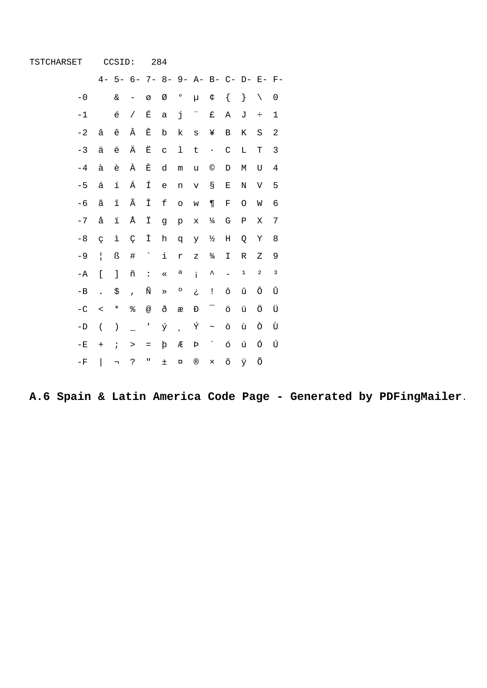| TSTCHARSET     |                      | CCSID:                   |                   |                           | 284          |                |                    |                          |                          |                                     |             |             |
|----------------|----------------------|--------------------------|-------------------|---------------------------|--------------|----------------|--------------------|--------------------------|--------------------------|-------------------------------------|-------------|-------------|
|                |                      |                          |                   |                           |              |                |                    |                          |                          | 4- 5- 6- 7- 8- 9- A- B- C- D- E- F- |             |             |
| $-0$           |                      | $\&$                     | $\qquad \qquad -$ | Ø                         | Ø            | $\circ$        | μ                  | ¢                        | $\{$                     | $\}$                                | $\setminus$ | 0           |
| $-1$           |                      | $\acute{\text e}$        | $\sqrt{2}$        | É                         | $\mathsf a$  | j              | ÷,                 | £                        | Α                        | J                                   | $\div$      | $\mathbf 1$ |
| $-2$           | â                    | ê                        | Â                 | Ê                         | $\mathbf b$  | k              | S                  | ¥                        | В                        | Κ                                   | $\rm S$     | 2           |
| $-3$           | ä                    | ë                        | Ä                 | Ë                         | $\mathbf C$  | ı              | t                  | $\bullet$                | $\mathsf C$              | $\mathbb L$                         | T           | 3           |
| $-4$           | à                    | è                        | À                 | È                         | d            | m              | u                  | $^{\circ}$               | D                        | М                                   | U           | 4           |
| $-5$           | á                    | $\acute{\text{\it l}}$   | Á                 | Í                         | $\epsilon$   | n              | $\rm{V}$           | $\mathbb S$              | Ε                        | $\mathbf N$                         | V           | 5           |
| $-6$           | ã                    | $\hat{\mathtt{l}}$       | Ã                 | Î                         | $\mathbf f$  | $\circ$        | W                  | $\P$                     | F                        | O                                   | W           | 6           |
| $-7$           | å                    | $\ddot{\texttt{1}}$      | Å                 | Ϊ                         | g            | p              | $\mathbf x$        | $\frac{1}{4}$            | G                        | Ρ                                   | Χ           | 7           |
| $-8$           | $\varsigma$          | ì                        | Ç                 | Ì                         | $\,$ h       | đ              | Y                  | $\frac{1}{2}$            | $\rm H$                  | Q                                   | Υ           | 8           |
| $-9$           | $\overline{1}$       | ß                        | $\#$              | $\gamma$                  | $\mathtt{i}$ | r              | $\rm{z}$           | $\frac{3}{4}$            | I                        | $\mathbb R$                         | Ζ           | 9           |
| $-A$           | $\mathbf{r}$         | $\mathbf{1}$             | ñ                 | $\ddot{\phantom{a}}$      | $\ll$        | a              | $\mathbf{i}$       | $\hat{\phantom{a}}$      |                          | $\mathbf 1$                         | $\mathbf 2$ | 3           |
| $-B$           | $\ddot{\phantom{a}}$ | \$                       | $\overline{ }$    | Ñ                         | $\gg$        | $\circ$        | خ                  | Ţ                        | ô                        | û                                   | ô           | Û           |
| $-\mathbf{C}$  | $\,<$                | $^\star$                 | ៖                 | $^\text{\textregistered}$ | ð            | æ              | Đ                  | $\overline{\phantom{0}}$ | ö                        | ü                                   | Ö           | Ü           |
| $-\mathbf{D}$  | $\overline{(\ }$     | $\left( \right)$         |                   | $\mathbf I$               | ý            | $\overline{a}$ | Ý                  | $\sim$                   | ò                        | ù                                   | Ò           | Ù           |
| $^-\mathrm{E}$ | $\qquad \qquad +$    | $\ddot{i}$               | $\, >$            | $=$                       | þ            | Æ              | $\mbox{\bf \rm P}$ | $\overline{\phantom{a}}$ | ó                        | ú                                   | ó           | Ú           |
| $^{\rm -F}$    | I                    | $\overline{\phantom{a}}$ | ?                 | $\mathbf u$               | $\pm$        | ¤              | $^\circledR$       | $\times$                 | $\widetilde{\mathrm{O}}$ | ÿ                                   | Õ           |             |

 $\hat{\theta}$ 

A.6 Spain & Latin America Code Page - Generated by PDFingMailer.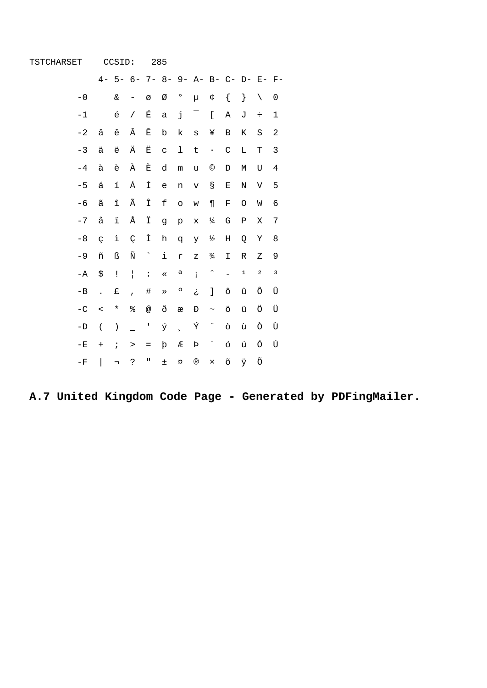| TSTCHARSET    |                          | CCSID:                   |                |                                   | 285         |                          |                    |                          |                          |               |                                     |              |
|---------------|--------------------------|--------------------------|----------------|-----------------------------------|-------------|--------------------------|--------------------|--------------------------|--------------------------|---------------|-------------------------------------|--------------|
|               |                          |                          |                |                                   |             |                          |                    |                          |                          |               | 4- 5- 6- 7- 8- 9- A- B- C- D- E- F- |              |
| $-0$          |                          | &                        | -              | Ø                                 | Ø           | $\circ$                  | μ                  | ¢                        | $\{$                     | $\}$          | $\setminus$                         | 0            |
| $-1$          |                          | $\acute{\text e}$        | $\sqrt{2}$     | É                                 | $\mathsf a$ | j                        | Ξ                  | $\mathfrak l$            | $\, {\tt A}$             | J             | $\div$                              | $1\,$        |
| $-2$          | â                        | ê                        | Â              | Ê                                 | $\rm{b}$    | k                        | S                  | ¥                        | $\, {\bf B}$             | К             | S                                   | $\sqrt{2}$   |
| $-3$          | ä                        | ë                        | Ä              | Ë                                 | $\mathbf C$ | ı                        | $\sf t$            | $\bullet$                | $\mathsf C$              | Г             | T                                   | $\mathbf{3}$ |
| $-4$          | à                        | è                        | À              | È                                 | d           | ${\mathfrak m}$          | u                  | $\odot$                  | D                        | М             | U                                   | $\,4$        |
| $-5$          | á                        | í                        | Á              | Í                                 | $\epsilon$  | n                        | $\mathbf v$        | $\mathbb S$              | $\mathbf E$              | N             | V                                   | 5            |
| $-6$          | ã                        | $\widehat{\mathtt{l}}$   | Ã              | Î                                 | $\mathbf f$ | $\circ$                  | W                  | $\P$                     | F                        | O             | W                                   | 6            |
| $-7$          | å                        | $\ddot{\texttt{1}}$      | Å              | Ϊ                                 | g           | $\rm p$                  | $\mathbf x$        | $\frac{1}{4}$            | G                        | Ρ             | Χ                                   | 7            |
| $-8$          | $\varsigma$              | ì                        | Ç              | Ì                                 | $\,h$       | q                        | У                  | $\frac{1}{2}$            | $\rm H$                  | Q             | Υ                                   | 8            |
| $-9$          | ñ                        | ß                        | Ñ              | $\gamma$                          | i           | r                        | Ζ                  | $\frac{3}{4}$            | I                        | ${\mathbb R}$ | Ζ                                   | 9            |
| $-\mathbb{A}$ | \$                       | $\mathop{!}\nolimits$    | $\mathbf{I}$   | $\ddot{\phantom{a}}$              | $\ll$       | a                        | i.                 | $\hat{\phantom{a}}$      | $\overline{a}$           | $\mathbf 1$   | $\mathbf 2$                         | 3            |
| $-B$          | $\ddot{\phantom{a}}$     | £                        | $\overline{ }$ | $\#$                              | $\gg$       | $\circ$                  | خ                  | J                        | ô                        | û             | ô                                   | Û            |
| $-C$          | $\,<$                    | $^\star$                 | နွ             | @                                 | ð           | æ                        | Đ                  | $\thicksim$              | ö                        | ü             | Ö                                   | Ü            |
| $-D$          | $\overline{(\ }$         | $\left( \right)$         |                | $\mathbf I$                       | ý           | $\overline{\phantom{a}}$ | Ý                  | ÷                        | ò                        | ù             | Ò                                   | Ù            |
| $-{\bf E}$    | $\qquad \qquad +$        | $\ddot{i}$               | $\, >$         | $\hspace{1.6cm} = \hspace{1.6cm}$ | þ           | Æ                        | $\mbox{\bf \rm P}$ | $\overline{\phantom{a}}$ | ó                        | ú             | ó                                   | Ú            |
| $^{\rm -F}$   | $\overline{\phantom{a}}$ | $\overline{\phantom{a}}$ | ?              | Π                                 | $\pm$       | $\alpha$                 | $^\copyright$      | $\times$                 | $\widetilde{\mathrm{O}}$ | ÿ             | Õ                                   |              |

 $\hat{\mathbf{r}}$ 

A.7 United Kingdom Code Page - Generated by PDFingMailer.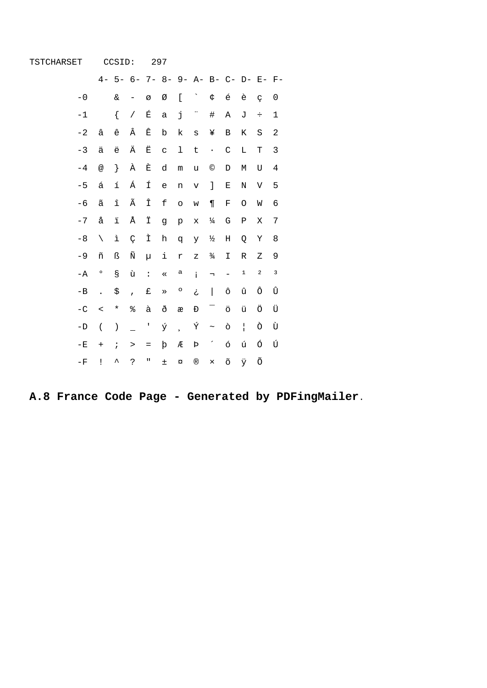| TSTCHARSET    |                      | CCSID:                 |                                     |                   | 297         |                          |                |                          |                          |              |             |                  |
|---------------|----------------------|------------------------|-------------------------------------|-------------------|-------------|--------------------------|----------------|--------------------------|--------------------------|--------------|-------------|------------------|
|               |                      |                        | 4- 5- 6- 7- 8- 9- A- B- C- D- E- F- |                   |             |                          |                |                          |                          |              |             |                  |
| $-0$          |                      | $\&$                   | -                                   | Ø                 | Ø           | ſ                        |                | ¢                        | $\acute{\text e}$        | è            | Ç           | 0                |
| $-1$          |                      | $\{$                   | $\overline{1}$                      | É                 | $\mathsf a$ | j                        | ÷              | $\#$                     | Α                        | J            | $\div$      | $\mathbf 1$      |
| $-2$          | â                    | ê                      | Â                                   | Ê                 | $\mathbf b$ | k                        | $\mathtt{s}$   | ¥                        | $\, {\bf B}$             | Κ            | S           | $\boldsymbol{2}$ |
| $-3$          | ä                    | ë                      | Ä                                   | Ë                 | $\mathbf C$ | ı                        | $\sf t$        | $\bullet$                | $\mathsf C$              | L            | Т           | 3                |
| $-4$          | @                    | $\}$                   | À                                   | È                 | d           | ${\mathfrak m}$          | u              | $\odot$                  | D                        | $\mathbb M$  | U           | $\,4$            |
| $-5$          | á                    | í                      | Á                                   | Í                 | $\epsilon$  | n                        | $\mathbf v$    | 1                        | $\mathbf E$              | $\rm N$      | $\mathbf V$ | 5                |
| $-6$          | ã                    | $\widehat{\mathtt{l}}$ | Ã                                   | Î                 | $\mathbf f$ | $\circ$                  | W              | $\P$                     | $\mathbf F$              | O            | M           | 6                |
| $-7$          | å                    | $\ddot{\texttt{1}}$    | Å                                   | Ϊ                 | g           | $\rm\,p$                 | X              | $\frac{1}{4}$            | G                        | Ρ            | Χ           | 7                |
| $-8$          | $\setminus$          | ì                      | Ç                                   | Ì                 | h           | q                        | У              | ½                        | $\rm H$                  | Q            | Υ           | 8                |
| $-9$          | ñ                    | ß                      | Ñ                                   | μ                 | i           | $\mathtt{r}$             | Ζ              | $\frac{3}{4}$            | I                        | R            | Ζ           | 9                |
| $-A$          | о                    | g                      | ù                                   | $\ddot{\cdot}$    | $\ll$       | а                        | i.             | $\lnot$                  |                          | $\mathbf 1$  | $\mathbf 2$ | 3                |
| $-B$          | $\ddot{\phantom{a}}$ | \$                     | $\overline{1}$                      | £                 | $\gg$       | o                        | خ              | I                        | ô                        | û            | ô           | Û                |
| $-\mathbf{C}$ | $\,<$                | $^\star$               | ៖                                   | à                 | ð           | æ                        | Đ              | $\overline{\phantom{0}}$ | ö                        | ü            | Ö           | Ü                |
| $-\mathbb{D}$ | $\overline{(\ }$     | $\left( \right)$       |                                     | $\mathsf I$       | ý           | $\overline{\phantom{a}}$ | Ý              | $\thicksim$              | ò                        | $\mathbf{I}$ | Ò           | Ù                |
| $^{\rm -E}$   | $^{+}$               | $\ddot{i}$             | $\, >$                              | $\qquad \qquad =$ | þ           | Æ                        | Þ              | $\overline{\phantom{a}}$ | ó                        | ú            | Ó           | Ú                |
| $-\mathbf{F}$ | Ţ                    | ᄉ                      | Ċ.                                  | Ш                 | $\pm$       | $\alpha$                 | $^{\circledR}$ | $\times$                 | $\widetilde{\mathrm{O}}$ | ÿ            | Õ           |                  |

 $\sim$ 

A.8 France Code Page - Generated by PDFingMailer.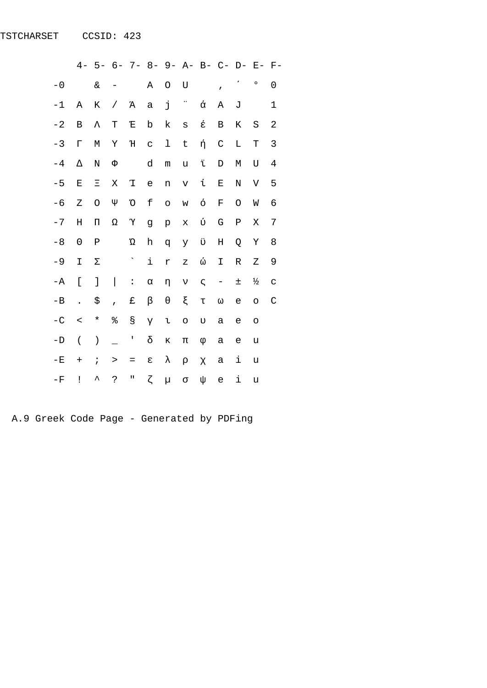|               | $4-$                     |                    |                          |                      |                           |                 | 5- 6- 7- 8- 9- A- B- C- D- E- F- |                           |             |               |             |
|---------------|--------------------------|--------------------|--------------------------|----------------------|---------------------------|-----------------|----------------------------------|---------------------------|-------------|---------------|-------------|
| $-0$          |                          | $\delta$           |                          |                      | $\, {\tt A}$              | O               | $\mathbf U$                      | $\mathbf{r}$              |             | o             | 0           |
| $-1$          |                          |                    |                          |                      | $\mathsf a$               | j               | $\ddot{\phantom{0}}$             | Α                         | J           |               | $\mathbf 1$ |
| $-2$          |                          |                    |                          |                      | b                         | k               | $\rm s$                          | $\, {\bf B}$              | K           | $\rm S$       | 2           |
| $-3$          |                          |                    |                          |                      | $\mathsf C$               | 1               | t                                | $\mathsf C$               | L           | T             | 3           |
| $-4$          |                          |                    |                          |                      | d                         | ${\mathfrak m}$ | u                                | $\mathbb D$               | $\mathbb M$ | U             | 4           |
| $-5$          |                          |                    |                          |                      | e                         | n               | $\boldsymbol{\nabla}$            | $\mathbf E$               | ${\rm N}$   | V             | 5           |
| $-6$          |                          |                    |                          |                      | $\mathbf f$               | $\circ$         | W                                | $\mathbf F$               | O           | W             | 6           |
| $-7$          |                          |                    |                          |                      | g                         | p               | $\mathbf x$                      | G                         | Ρ           | Χ             | 7           |
| $-8$          |                          |                    |                          |                      | $\boldsymbol{\mathrm{h}}$ | q               | У                                | $\boldsymbol{\mathrm{H}}$ | Q           | Υ             | 8           |
| $-9$          |                          |                    |                          | $\ddot{\phantom{0}}$ | $\mathtt{i}$              | $\,$ $\,$ $\,$  | $\mathbf z$                      | Ι                         | R           | Ζ             | 9           |
| -A            | $\lbrack$                | l                  | $\overline{\phantom{a}}$ | $\ddot{\cdot}$       |                           |                 |                                  | $\overline{\phantom{0}}$  | $\pm$       | $\frac{1}{2}$ | $\mathsf C$ |
| $-B$          | $\ddot{\phantom{a}}$     | \$                 | $\overline{1}$           | £                    |                           |                 |                                  |                           | e           | $\circ$       | $\mathsf C$ |
| $-\mathbf{C}$ | $\prec$                  | $\star$            | %                        | Ş                    |                           |                 |                                  | $\mathsf{a}$              | e           | $\circ$       |             |
| $-\mathbf{D}$ | $\overline{\phantom{a}}$ | $\big)$            |                          | $\pmb{\mathsf{I}}$   |                           |                 |                                  | a                         | e           | u             |             |
| $-E$          | $\ddot{}$                | $\mathbf{\dot{.}}$ | $\, > \,$                | $=$                  |                           |                 |                                  | a                         | i           | u             |             |
| $^{\rm -F}$   | Ĩ                        | $\lambda$          | خ.                       | H                    |                           | μ               |                                  | e                         | i           | u             |             |

A.9 Greek Code Page - Generated by PDFing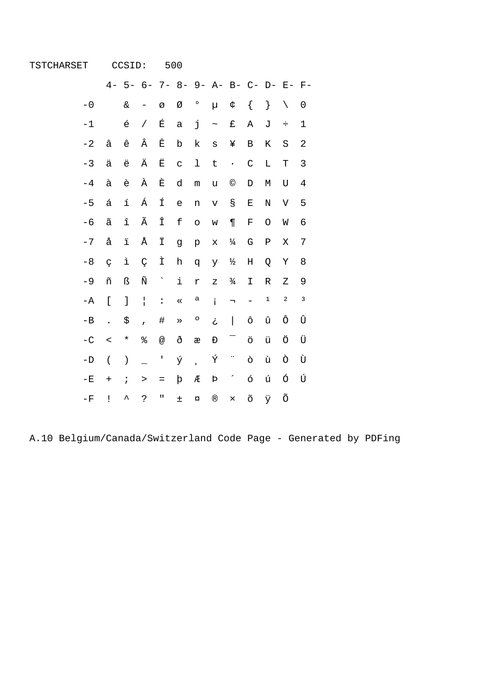## TSTCHARSET CCSID: 500

|                 | $4-$                   |               | 5- 6- 7- 8- 9- A- B- C- D- E- F- |                      |              |                          |                    |                          |                        |   |             |             |
|-----------------|------------------------|---------------|----------------------------------|----------------------|--------------|--------------------------|--------------------|--------------------------|------------------------|---|-------------|-------------|
| $-0$            |                        | $\delta$      |                                  | Ø                    | Ø            | $\circ$                  | μ                  | ¢                        | {                      | } | $\setminus$ | 0           |
| $-1$            |                        | é             | $\sqrt{2}$                       | É                    | a            | j                        | $\thicksim$        | £                        | Α                      | J | ÷           | $\mathbf 1$ |
| $-2$            | â                      | ê             | Â                                | Ê                    | b            | k                        | S                  | ¥                        | B                      | Κ | S           | 2           |
| $-3$            | ä                      | ë             | Ä                                | Ë                    | $\mathsf C$  | $\mathbf 1$              | t                  | $\ddot{\phantom{0}}$     | $\mathsf C$            | L | T           | 3           |
| $-4$            | à                      | è             | À                                | È                    | d            | m                        | u                  | $\copyright$             | D                      | М | U           | 4           |
| $-5$            | á                      | í             | Á                                | Í                    | e            | n                        | V                  | g                        | E                      | N | V           | 5           |
| $-6$            | $\widetilde{\text{a}}$ | î             | Ã                                | Î                    | f            | $\circ$                  | W                  | $\P$                     | F                      | O | W           | 6           |
| $-7$            | å                      | ï             | Å                                | Ϊ                    | g            | $\rm p$                  | X                  | $\frac{1}{4}$            | G                      | Ρ | Χ           | 7           |
| $-8$            | Ç                      | ì             | Ç                                | Ì                    | h            | đ                        | У                  | ⅓                        | Η                      | Q | Υ           | 8           |
| $-9$            | ñ                      | ß             | Ñ                                | $\ddot{\phantom{0}}$ | $\mathtt{i}$ | r                        | Ζ                  | $\frac{3}{4}$            | I                      | R | Ζ           | 9           |
| -A              | ſ                      | J             | $\mathbf{I}$                     | $\ddot{\cdot}$       | $\ll$        | a                        | İ                  | $\overline{\phantom{a}}$ |                        | 1 | 2           | 3           |
| $-\mathbf{B}$   |                        | \$            | $\overline{1}$                   | #                    | »            | О                        | ځ                  | $\overline{\phantom{a}}$ | ô                      | û | ô           | Û           |
| $-C$            | $\,<$                  | $^\star$      | ిం                               | @                    | ð            | æ                        | Đ                  |                          | ö                      | ü | Ö           | Ü           |
| $-\mathbf{D}$   | $\overline{(\ }$       | $\mathcal{E}$ |                                  | I                    | ý            | $\overline{\phantom{a}}$ | Ý                  | .,                       | ò                      | ù | Ò           | Ù           |
| $-E$            | $\ddot{}$              | $\ddot{i}$    | $\geq$                           | $\qquad \qquad =$    | þ            | Æ                        | $\mbox{\bf \rm P}$ |                          | ó                      | ú | Ó           | Ú           |
| $-\,\mathrm{F}$ | Ţ                      | ᄉ             | خ.                               | $\mathbf{u}$         | $\pm$        | $\alpha$                 | $^\circledR$       | $\times$                 | $\widetilde{\bigcirc}$ | ÿ | Õ           |             |

A.10 Belgium/Canada/Switzerland Code Page - Generated by PDFing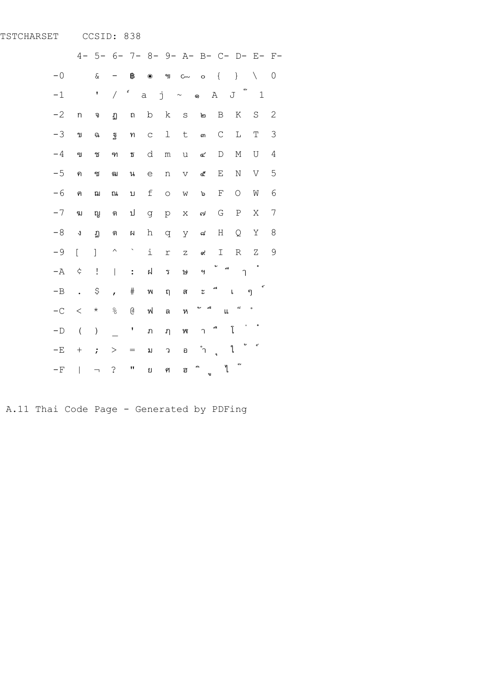## TSTCHARSET CCSID: 838

|                 | $4-$                        | $5 -$                    |                          |                         |                           |           | 6- 7- 8- 9- A- B- C- D- E- F-    |                        |                          |                           |                      |              |
|-----------------|-----------------------------|--------------------------|--------------------------|-------------------------|---------------------------|-----------|----------------------------------|------------------------|--------------------------|---------------------------|----------------------|--------------|
| $-0$            |                             | $\&$                     |                          | ₿                       | $\bullet$                 | ម្យ       | $\mathsf{C}\mathsf{m}\mathsf{v}$ | $\circ$                | $\{$                     | $\}$                      | $\setminus$          | 0            |
| $-1$            |                             | I                        | $\sqrt{2}$               | $\epsilon$              | j<br>$\mathsf{a}$         |           | $\sim$                           | ෧                      | $\mathbb A$              | $e\nu$<br>J               | $\mathbf{1}$         |              |
| $-2$            | ่ก                          | จ                        | ฏ                        | ถ                       | $\rm b$                   | k         | $\rm S$                          | ២                      | B                        | K                         | $\rm S$              | $\mathbf{2}$ |
| $-3$            | ป                           | ฉ                        | จู                       | ท                       | $\mathsf C$               | $\perp$   | $\sf t$                          | ണ                      | $\mathsf C$              | L                         | T                    | 3            |
| $-4$            | ฃ                           | ช                        | ฑ                        | $\overline{\mathbb{D}}$ | d                         | ${\rm m}$ | u                                | $\rm \sigma$           | $\mathbb D$              | $\mathop{\rm M}\nolimits$ | U                    | $\sqrt{4}$   |
| $-5$            | ิค                          | ิซ                       | ฒ                        | น                       | $\in$                     | n         | $\boldsymbol{\nabla}$            | ද්                     | E                        | N                         | V                    | 5            |
| $-6$            | ฅ                           | ណ                        | ณ                        | ป                       | $\ensuremath{\mathsf{f}}$ | $\circ$   | W                                | ঌ                      | $\mathbf F$              | $\circ$                   | W                    | 6            |
| $-7$            | ฆ                           | ល្ព                      | ମ                        | ป                       | g                         | p         | $\mathsf X$                      | ຝ                      | G                        | $\, {\bf P}$              | Χ                    | 7            |
| $-8$            | $\ensuremath{\mathfrak{J}}$ | D                        | ମ                        | N                       | h                         | q         | У                                | ಡ                      | Η                        | Q                         | Υ                    | 8            |
| $-9$            | Ĺ                           | l                        | $\wedge$                 | Ň                       | i                         | $\Gamma$  | $\overline{z}$                   | ๙                      | Ι                        | $\, {\mathbb R}$          | Ζ                    | 9            |
| $-\mathbb{A}$   | ¢                           | $\mathbf{I}%$            | $\overline{\phantom{a}}$ | $\ddot{\cdot}$          | ฝ                         | วิ        | ١s                               | Y                      | $\overline{\phantom{a}}$ | ำ                         | $\ddot{\phantom{1}}$ |              |
| $-B$            | $\ddot{\phantom{0}}$        | \$                       | $\mathbf{r}$             | $\#$                    | W                         | ព         | ส                                | ٩e                     | $\overline{\phantom{a}}$ | $\mathsf{I}$              | $\epsilon$<br>ๆ      |              |
| $-C$            | $\,<$                       | $\star$                  | $\frac{1}{\sqrt{2}}$     | g                       | ฟ                         | ิด        | ห                                | ⊿<br>پ                 | $\mathsf{f}\mathsf{f}$   | $\approx$                 | $\circ$              |              |
| $-\,\mathrm{D}$ | $\overline{(}$              | $\mathcal{C}^{\prime}$   |                          | Ţ                       | រា                        | ฦ         | w                                | $\mathcal{L}$          | $\triangleq$             | ı<br>$\tilde{l}$          | ÷                    |              |
| $-E$            | $\! + \!$                   | $\dot{.}$                | >                        | $=$                     | ม                         | J         | อ                                | $\mathcal{L}^{\circ}$  | $\overline{a}$           | e<br>ใ                    | $\epsilon^{\prime}$  |              |
| $-\,\mathrm{F}$ | $\overline{\phantom{a}}$    | $\overline{\phantom{0}}$ | $\mathbin{\mathbb S}$    | IJ                      | ย                         | ମ         | ฮ                                | $\triangleright$<br>٩J | y                        | $_{\rm 69}$               |                      |              |

A.11 Thai Code Page - Generated by PDFing